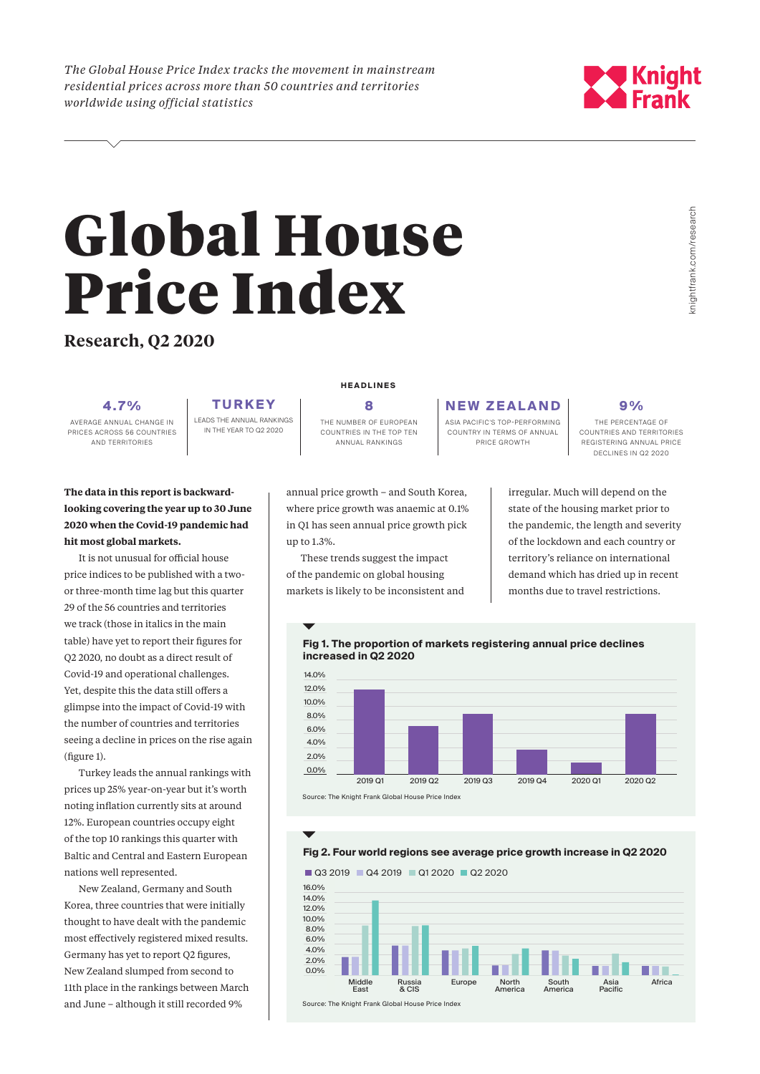*The Global House Price Index tracks the movement in mainstream residential prices across more than 50 countries and territories worldwide using official statistics*



**Research, Q2 2020**

**4.7%** AVERAGE ANNUAL CHANGE IN PRICES ACROSS 56 COUNTRIES AND TERRITORIES

**TURKEY** LEADS THE ANNUAL RANKINGS IN THE YEAR TO Q2 2020

#### **HEADLINES**

**8** THE NUMBER OF EUROPEAN COUNTRIES IN THE TOP TEN ANNUAL RANKINGS

ASIA PACIFIC'S TOP-PERFORMING COUNTRY IN TERMS OF ANNUAL PRICE GROWTH

**NEW ZEALAND**

**9 %**

THE PERCENTAGE OF COUNTRIES AND TERRITORIES REGISTERING ANNUAL PRICE DECLINES IN Q2 2020

**The data in this report is backwardlooking covering the year up to 30 June 2020 when the Covid-19 pandemic had hit most global markets.** 

It is not unusual for official house price indices to be published with a twoor three-month time lag but this quarter 29 of the 56 countries and territories we track (those in italics in the main table) have yet to report their figures for Q2 2020, no doubt as a direct result of Covid-19 and operational challenges. Yet, despite this the data still offers a glimpse into the impact of Covid-19 with the number of countries and territories seeing a decline in prices on the rise again (figure 1).

Turkey leads the annual rankings with prices up 25% year-on-year but it's worth noting inflation currently sits at around 12%. European countries occupy eight of the top 10 rankings this quarter with Baltic and Central and Eastern European nations well represented.

New Zealand, Germany and South Korea, three countries that were initially thought to have dealt with the pandemic most effectively registered mixed results. Germany has yet to report Q2 figures, New Zealand slumped from second to 11th place in the rankings between March and June – although it still recorded 9%

annual price growth – and South Korea, where price growth was anaemic at 0.1% in Q1 has seen annual price growth pick up to 1.3%.

These trends suggest the impact of the pandemic on global housing markets is likely to be inconsistent and irregular. Much will depend on the state of the housing market prior to the pandemic, the length and severity of the lockdown and each country or territory's reliance on international demand which has dried up in recent months due to travel restrictions.



**Fig 1. The proportion of markets registering annual price declines** 

Source: The Knight Frank Global House Price Index

#### **Fig 2. Four world regions see average price growth increase in Q2 2020**



knightfrank.com/research

knightfrank.com/research